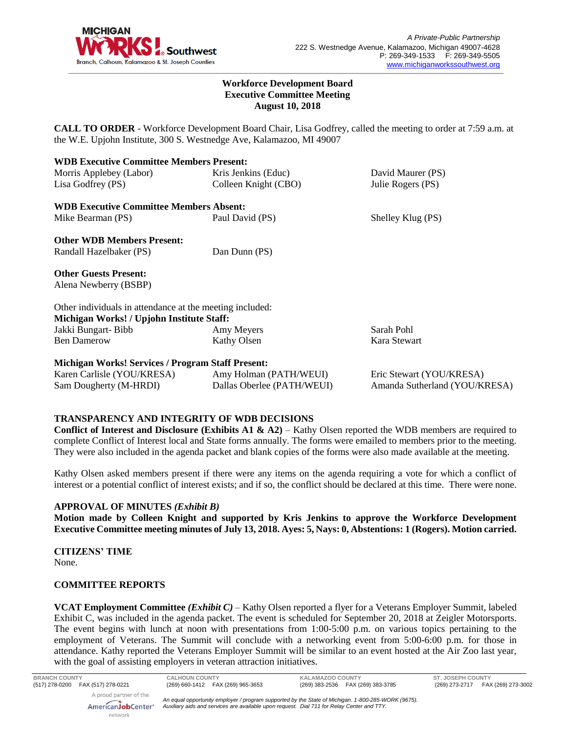

### **Workforce Development Board Executive Committee Meeting August 10, 2018**

**CALL TO ORDER** - Workforce Development Board Chair, Lisa Godfrey, called the meeting to order at 7:59 a.m. at the W.E. Upjohn Institute, 300 S. Westnedge Ave, Kalamazoo, MI 49007

| <b>WDB Executive Committee Members Present:</b>          |                            |                               |
|----------------------------------------------------------|----------------------------|-------------------------------|
| Morris Applebey (Labor)                                  | Kris Jenkins (Educ)        | David Maurer (PS)             |
| Lisa Godfrey (PS)                                        | Colleen Knight (CBO)       | Julie Rogers (PS)             |
| <b>WDB Executive Committee Members Absent:</b>           |                            |                               |
| Mike Bearman (PS)                                        | Paul David (PS)            | Shelley Klug (PS)             |
| <b>Other WDB Members Present:</b>                        |                            |                               |
| Randall Hazelbaker (PS)                                  | Dan Dunn (PS)              |                               |
| <b>Other Guests Present:</b>                             |                            |                               |
| Alena Newberry (BSBP)                                    |                            |                               |
| Other individuals in attendance at the meeting included: |                            |                               |
| Michigan Works! / Upjohn Institute Staff:                |                            |                               |
| Jakki Bungart-Bibb                                       | Amy Meyers                 | Sarah Pohl                    |
| <b>Ben Damerow</b>                                       | Kathy Olsen                | Kara Stewart                  |
| <b>Michigan Works! Services / Program Staff Present:</b> |                            |                               |
| Karen Carlisle (YOU/KRESA)                               | Amy Holman (PATH/WEUI)     | Eric Stewart (YOU/KRESA)      |
| Sam Dougherty (M-HRDI)                                   | Dallas Oberlee (PATH/WEUI) | Amanda Sutherland (YOU/KRESA) |

# **TRANSPARENCY AND INTEGRITY OF WDB DECISIONS**

**Conflict of Interest and Disclosure (Exhibits A1 & A2)** – Kathy Olsen reported the WDB members are required to complete Conflict of Interest local and State forms annually. The forms were emailed to members prior to the meeting. They were also included in the agenda packet and blank copies of the forms were also made available at the meeting.

Kathy Olsen asked members present if there were any items on the agenda requiring a vote for which a conflict of interest or a potential conflict of interest exists; and if so, the conflict should be declared at this time. There were none.

### **APPROVAL OF MINUTES** *(Exhibit B)*

**Motion made by Colleen Knight and supported by Kris Jenkins to approve the Workforce Development Executive Committee meeting minutes of July 13, 2018. Ayes: 5, Nays: 0, Abstentions: 1 (Rogers). Motion carried.** 

**CITIZENS' TIME** None.

### **COMMITTEE REPORTS**

network

**VCAT Employment Committee** *(Exhibit C)* – Kathy Olsen reported a flyer for a Veterans Employer Summit, labeled Exhibit C, was included in the agenda packet. The event is scheduled for September 20, 2018 at Zeigler Motorsports. The event begins with lunch at noon with presentations from 1:00-5:00 p.m. on various topics pertaining to the employment of Veterans. The Summit will conclude with a networking event from 5:00-6:00 p.m. for those in attendance. Kathy reported the Veterans Employer Summit will be similar to an event hosted at the Air Zoo last year, with the goal of assisting employers in veteran attraction initiatives.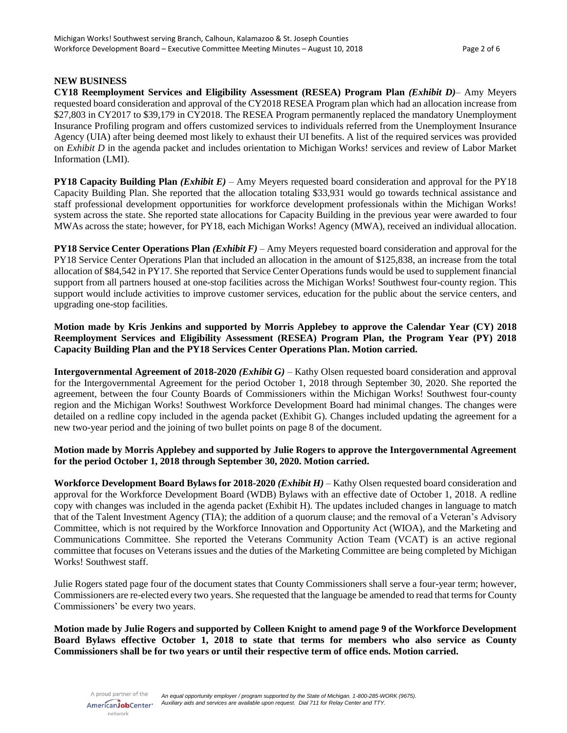### **NEW BUSINESS**

**CY18 Reemployment Services and Eligibility Assessment (RESEA) Program Plan** *(Exhibit D)*– Amy Meyers requested board consideration and approval of the CY2018 RESEA Program plan which had an allocation increase from \$27,803 in CY2017 to \$39,179 in CY2018. The RESEA Program permanently replaced the mandatory Unemployment Insurance Profiling program and offers customized services to individuals referred from the Unemployment Insurance Agency (UIA) after being deemed most likely to exhaust their UI benefits. A list of the required services was provided on *Exhibit D* in the agenda packet and includes orientation to Michigan Works! services and review of Labor Market Information (LMI).

**PY18 Capacity Building Plan** *(Exhibit E)* – Amy Meyers requested board consideration and approval for the PY18 Capacity Building Plan. She reported that the allocation totaling \$33,931 would go towards technical assistance and staff professional development opportunities for workforce development professionals within the Michigan Works! system across the state. She reported state allocations for Capacity Building in the previous year were awarded to four MWAs across the state; however, for PY18, each Michigan Works! Agency (MWA), received an individual allocation.

**PY18 Service Center Operations Plan** *(Exhibit F)* – Amy Meyers requested board consideration and approval for the PY18 Service Center Operations Plan that included an allocation in the amount of \$125,838, an increase from the total allocation of \$84,542 in PY17. She reported that Service Center Operations funds would be used to supplement financial support from all partners housed at one-stop facilities across the Michigan Works! Southwest four-county region. This support would include activities to improve customer services, education for the public about the service centers, and upgrading one-stop facilities.

**Motion made by Kris Jenkins and supported by Morris Applebey to approve the Calendar Year (CY) 2018 Reemployment Services and Eligibility Assessment (RESEA) Program Plan, the Program Year (PY) 2018 Capacity Building Plan and the PY18 Services Center Operations Plan. Motion carried.**

**Intergovernmental Agreement of 2018-2020** *(Exhibit G)* – Kathy Olsen requested board consideration and approval for the Intergovernmental Agreement for the period October 1, 2018 through September 30, 2020. She reported the agreement, between the four County Boards of Commissioners within the Michigan Works! Southwest four-county region and the Michigan Works! Southwest Workforce Development Board had minimal changes. The changes were detailed on a redline copy included in the agenda packet (Exhibit G). Changes included updating the agreement for a new two-year period and the joining of two bullet points on page 8 of the document.

### **Motion made by Morris Applebey and supported by Julie Rogers to approve the Intergovernmental Agreement for the period October 1, 2018 through September 30, 2020. Motion carried.**

**Workforce Development Board Bylaws for 2018-2020** *(Exhibit H)* – Kathy Olsen requested board consideration and approval for the Workforce Development Board (WDB) Bylaws with an effective date of October 1, 2018. A redline copy with changes was included in the agenda packet (Exhibit H). The updates included changes in language to match that of the Talent Investment Agency (TIA); the addition of a quorum clause; and the removal of a Veteran's Advisory Committee, which is not required by the Workforce Innovation and Opportunity Act (WIOA), and the Marketing and Communications Committee. She reported the Veterans Community Action Team (VCAT) is an active regional committee that focuses on Veterans issues and the duties of the Marketing Committee are being completed by Michigan Works! Southwest staff.

Julie Rogers stated page four of the document states that County Commissioners shall serve a four-year term; however, Commissioners are re-elected every two years. She requested that the language be amended to read that termsfor County Commissioners' be every two years.

**Motion made by Julie Rogers and supported by Colleen Knight to amend page 9 of the Workforce Development Board Bylaws effective October 1, 2018 to state that terms for members who also service as County Commissioners shall be for two years or until their respective term of office ends. Motion carried.**

A proud partner of the AmericanJobCenter\* network

*An equal opportunity employer / program supported by the State of Michigan. 1-800-285-WORK (9675). Auxiliary aids and services are available upon request. Dial 711 for Relay Center and TTY.*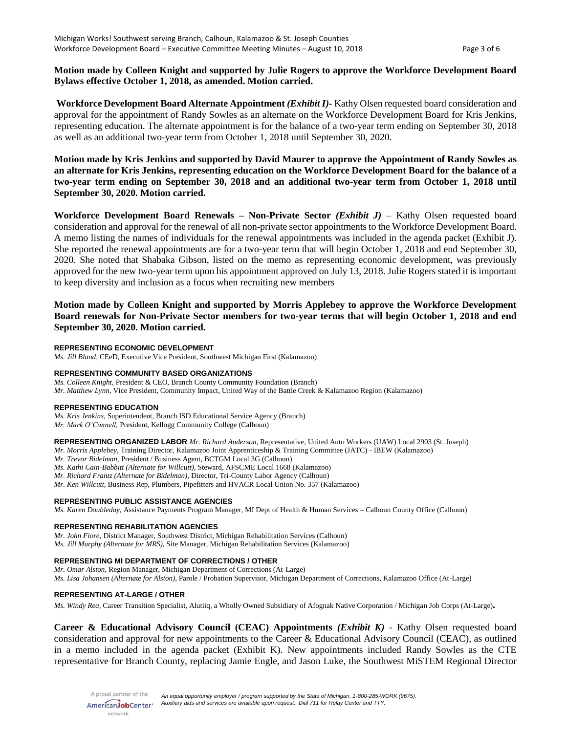### **Motion made by Colleen Knight and supported by Julie Rogers to approve the Workforce Development Board Bylaws effective October 1, 2018, as amended. Motion carried.**

**Workforce Development Board Alternate Appointment** *(Exhibit I)*- Kathy Olsen requested board consideration and approval for the appointment of Randy Sowles as an alternate on the Workforce Development Board for Kris Jenkins, representing education. The alternate appointment is for the balance of a two-year term ending on September 30, 2018 as well as an additional two-year term from October 1, 2018 until September 30, 2020.

**Motion made by Kris Jenkins and supported by David Maurer to approve the Appointment of Randy Sowles as an alternate for Kris Jenkins, representing education on the Workforce Development Board for the balance of a two-year term ending on September 30, 2018 and an additional two-year term from October 1, 2018 until September 30, 2020. Motion carried.**

**Workforce Development Board Renewals – Non-Private Sector** *(Exhibit J)* – Kathy Olsen requested board consideration and approval for the renewal of all non-private sector appointments to the Workforce Development Board. A memo listing the names of individuals for the renewal appointments was included in the agenda packet (Exhibit J). She reported the renewal appointments are for a two-year term that will begin October 1, 2018 and end September 30, 2020. She noted that Shabaka Gibson, listed on the memo as representing economic development, was previously approved for the new two-year term upon his appointment approved on July 13, 2018. Julie Rogers stated it is important to keep diversity and inclusion as a focus when recruiting new members

**Motion made by Colleen Knight and supported by Morris Applebey to approve the Workforce Development Board renewals for Non-Private Sector members for two-year terms that will begin October 1, 2018 and end September 30, 2020. Motion carried.**

#### **REPRESENTING ECONOMIC DEVELOPMENT**

*Ms. Jill Bland,* CEeD, Executive Vice President, Southwest Michigan First (Kalamazoo)

#### **REPRESENTING COMMUNITY BASED ORGANIZATIONS**

*Ms. Colleen Knight,* President & CEO, Branch County Community Foundation (Branch) *Mr. Matthew Lynn,* Vice President, Community Impact, United Way of the Battle Creek & Kalamazoo Region (Kalamazoo)

#### **REPRESENTING EDUCATION**

*Ms. Kris Jenkins,* Superintendent, Branch ISD Educational Service Agency (Branch) *Mr. Mark O'Connell,* President, Kellogg Community College (Calhoun)

**REPRESENTING ORGANIZED LABOR** *Mr. Richard Anderson,* Representative, United Auto Workers (UAW) Local 2903 (St. Joseph)

*Mr. Morris Applebey,* Training Director, Kalamazoo Joint Apprenticeship & Training Committee (JATC) - IBEW (Kalamazoo)

*Mr. Trevor Bidelman,* President / Business Agent, BCTGM Local 3G (Calhoun)

*Ms. Kathi Cain-Babbitt (Alternate for Willcutt),* Steward, AFSCME Local 1668 (Kalamazoo)

*Mr. Richard Frantz (Alternate for Bidelman),* Director, Tri-County Labor Agency (Calhoun)

*Mr. Ken Willcutt,* Business Rep, Plumbers, Pipefitters and HVACR Local Union No. 357 (Kalamazoo)

### **REPRESENTING PUBLIC ASSISTANCE AGENCIES**

*Ms. Karen Doubleday,* Assistance Payments Program Manager, MI Dept of Health & Human Services – Calhoun County Office (Calhoun)

#### **REPRESENTING REHABILITATION AGENCIES**

*Mr. John Fiore,* District Manager, Southwest District, Michigan Rehabilitation Services (Calhoun) *Ms. Jill Murphy (Alternate for MRS),* Site Manager, Michigan Rehabilitation Services (Kalamazoo)

#### **REPRESENTING MI DEPARTMENT OF CORRECTIONS / OTHER**

*Mr. Omar Alston,* Region Manager, Michigan Department of Corrections (At-Large) *Ms. Lisa Johansen (Alternate for Alston)*, Parole / Probation Supervisor, Michigan Department of Corrections, Kalamazoo Office (At-Large)

#### **REPRESENTING AT-LARGE / OTHER**

*Ms. Windy Rea,* Career Transition Specialist, Alutiiq, a Wholly Owned Subsidiary of Afognak Native Corporation / Michigan Job Corps (At-Large)**.**

**Career & Educational Advisory Council (CEAC) Appointments** *(Exhibit K)* - Kathy Olsen requested board consideration and approval for new appointments to the Career & Educational Advisory Council (CEAC), as outlined in a memo included in the agenda packet (Exhibit K). New appointments included Randy Sowles as the CTE representative for Branch County, replacing Jamie Engle, and Jason Luke, the Southwest MiSTEM Regional Director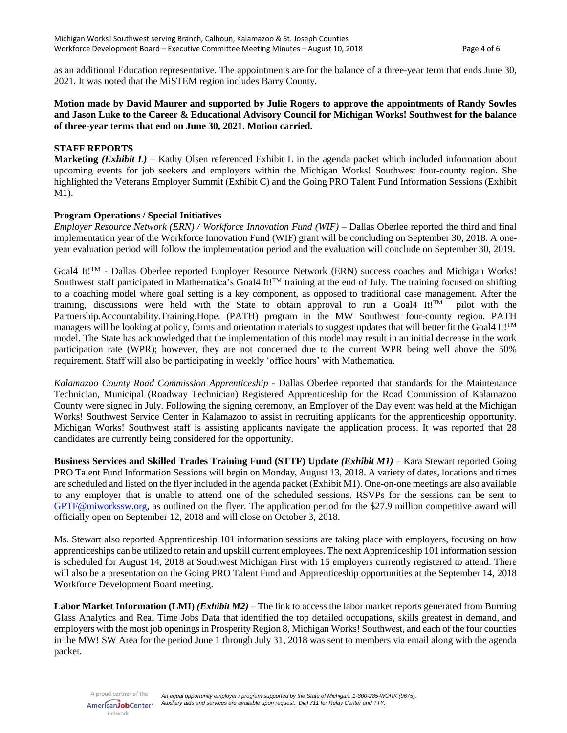as an additional Education representative. The appointments are for the balance of a three-year term that ends June 30, 2021. It was noted that the MiSTEM region includes Barry County.

## **Motion made by David Maurer and supported by Julie Rogers to approve the appointments of Randy Sowles and Jason Luke to the Career & Educational Advisory Council for Michigan Works! Southwest for the balance of three-year terms that end on June 30, 2021. Motion carried.**

# **STAFF REPORTS**

**Marketing** *(Exhibit L)* – Kathy Olsen referenced Exhibit L in the agenda packet which included information about upcoming events for job seekers and employers within the Michigan Works! Southwest four-county region. She highlighted the Veterans Employer Summit (Exhibit C) and the Going PRO Talent Fund Information Sessions (Exhibit M1).

### **Program Operations / Special Initiatives**

*Employer Resource Network (ERN) / Workforce Innovation Fund (WIF) –* Dallas Oberlee reported the third and final implementation year of the Workforce Innovation Fund (WIF) grant will be concluding on September 30, 2018. A oneyear evaluation period will follow the implementation period and the evaluation will conclude on September 30, 2019.

Goal4 It!TM - Dallas Oberlee reported Employer Resource Network (ERN) success coaches and Michigan Works! Southwest staff participated in Mathematica's Goal4 It!<sup>TM</sup> training at the end of July. The training focused on shifting to a coaching model where goal setting is a key component, as opposed to traditional case management. After the training, discussions were held with the State to obtain approval to run a Goal4 It!<sup>TM</sup> pilot with the Partnership.Accountability.Training.Hope. (PATH) program in the MW Southwest four-county region. PATH managers will be looking at policy, forms and orientation materials to suggest updates that will better fit the Goal4 It!<sup>TM</sup> model. The State has acknowledged that the implementation of this model may result in an initial decrease in the work participation rate (WPR); however, they are not concerned due to the current WPR being well above the 50% requirement. Staff will also be participating in weekly 'office hours' with Mathematica.

*Kalamazoo County Road Commission Apprenticeship* - Dallas Oberlee reported that standards for the Maintenance Technician, Municipal (Roadway Technician) Registered Apprenticeship for the Road Commission of Kalamazoo County were signed in July. Following the signing ceremony, an Employer of the Day event was held at the Michigan Works! Southwest Service Center in Kalamazoo to assist in recruiting applicants for the apprenticeship opportunity. Michigan Works! Southwest staff is assisting applicants navigate the application process. It was reported that 28 candidates are currently being considered for the opportunity.

**Business Services and Skilled Trades Training Fund (STTF) Update** *(Exhibit M1)* – Kara Stewart reported Going PRO Talent Fund Information Sessions will begin on Monday, August 13, 2018. A variety of dates, locations and times are scheduled and listed on the flyer included in the agenda packet (Exhibit M1). One-on-one meetings are also available to any employer that is unable to attend one of the scheduled sessions. RSVPs for the sessions can be sent to [GPTF@miworkssw.org,](mailto:GPTF@miworkssw.org) as outlined on the flyer. The application period for the \$27.9 million competitive award will officially open on September 12, 2018 and will close on October 3, 2018.

Ms. Stewart also reported Apprenticeship 101 information sessions are taking place with employers, focusing on how apprenticeships can be utilized to retain and upskill current employees. The next Apprenticeship 101 information session is scheduled for August 14, 2018 at Southwest Michigan First with 15 employers currently registered to attend. There will also be a presentation on the Going PRO Talent Fund and Apprenticeship opportunities at the September 14, 2018 Workforce Development Board meeting.

**Labor Market Information (LMI)** *(Exhibit M2)* – The link to access the labor market reports generated from Burning Glass Analytics and Real Time Jobs Data that identified the top detailed occupations, skills greatest in demand, and employers with the most job openings in Prosperity Region 8, Michigan Works! Southwest, and each of the four counties in the MW! SW Area for the period June 1 through July 31, 2018 was sent to members via email along with the agenda packet.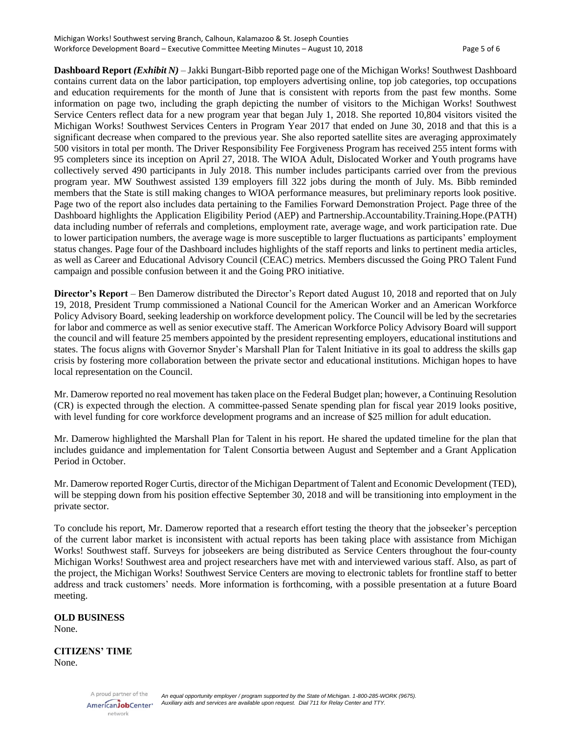**Dashboard Report** *(Exhibit N)* – Jakki Bungart-Bibb reported page one of the Michigan Works! Southwest Dashboard contains current data on the labor participation, top employers advertising online, top job categories, top occupations and education requirements for the month of June that is consistent with reports from the past few months. Some information on page two, including the graph depicting the number of visitors to the Michigan Works! Southwest Service Centers reflect data for a new program year that began July 1, 2018. She reported 10,804 visitors visited the Michigan Works! Southwest Services Centers in Program Year 2017 that ended on June 30, 2018 and that this is a significant decrease when compared to the previous year. She also reported satellite sites are averaging approximately 500 visitors in total per month. The Driver Responsibility Fee Forgiveness Program has received 255 intent forms with 95 completers since its inception on April 27, 2018. The WIOA Adult, Dislocated Worker and Youth programs have collectively served 490 participants in July 2018. This number includes participants carried over from the previous program year. MW Southwest assisted 139 employers fill 322 jobs during the month of July. Ms. Bibb reminded members that the State is still making changes to WIOA performance measures, but preliminary reports look positive. Page two of the report also includes data pertaining to the Families Forward Demonstration Project. Page three of the Dashboard highlights the Application Eligibility Period (AEP) and Partnership.Accountability.Training.Hope.(PATH) data including number of referrals and completions, employment rate, average wage, and work participation rate. Due to lower participation numbers, the average wage is more susceptible to larger fluctuations as participants' employment status changes. Page four of the Dashboard includes highlights of the staff reports and links to pertinent media articles, as well as Career and Educational Advisory Council (CEAC) metrics. Members discussed the Going PRO Talent Fund campaign and possible confusion between it and the Going PRO initiative.

**Director's Report** – Ben Damerow distributed the Director's Report dated August 10, 2018 and reported that on July 19, 2018, President Trump commissioned a National Council for the American Worker and an American Workforce Policy Advisory Board, seeking leadership on workforce development policy. The Council will be led by the secretaries for labor and commerce as well as senior executive staff. The American Workforce Policy Advisory Board will support the council and will feature 25 members appointed by the president representing employers, educational institutions and states. The focus aligns with Governor Snyder's Marshall Plan for Talent Initiative in its goal to address the skills gap crisis by fostering more collaboration between the private sector and educational institutions. Michigan hopes to have local representation on the Council.

Mr. Damerow reported no real movement has taken place on the Federal Budget plan; however, a Continuing Resolution (CR) is expected through the election. A committee-passed Senate spending plan for fiscal year 2019 looks positive, with level funding for core workforce development programs and an increase of \$25 million for adult education.

Mr. Damerow highlighted the Marshall Plan for Talent in his report. He shared the updated timeline for the plan that includes guidance and implementation for Talent Consortia between August and September and a Grant Application Period in October.

Mr. Damerow reported Roger Curtis, director of the Michigan Department of Talent and Economic Development (TED), will be stepping down from his position effective September 30, 2018 and will be transitioning into employment in the private sector.

To conclude his report, Mr. Damerow reported that a research effort testing the theory that the jobseeker's perception of the current labor market is inconsistent with actual reports has been taking place with assistance from Michigan Works! Southwest staff. Surveys for jobseekers are being distributed as Service Centers throughout the four-county Michigan Works! Southwest area and project researchers have met with and interviewed various staff. Also, as part of the project, the Michigan Works! Southwest Service Centers are moving to electronic tablets for frontline staff to better address and track customers' needs. More information is forthcoming, with a possible presentation at a future Board meeting.

### **OLD BUSINESS**

None.

### **CITIZENS' TIME** None.

A proud partner of the AmericanJobCenter\* network

*An equal opportunity employer / program supported by the State of Michigan. 1-800-285-WORK (9675). Auxiliary aids and services are available upon request. Dial 711 for Relay Center and TTY.*